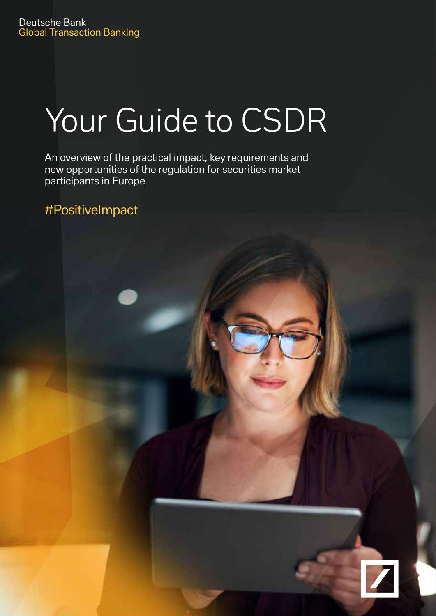# Your Guide to CSDR

An overview of the practical impact, key requirements and new opportunities of the regulation for securities market participants in Europe

#PositiveImpact

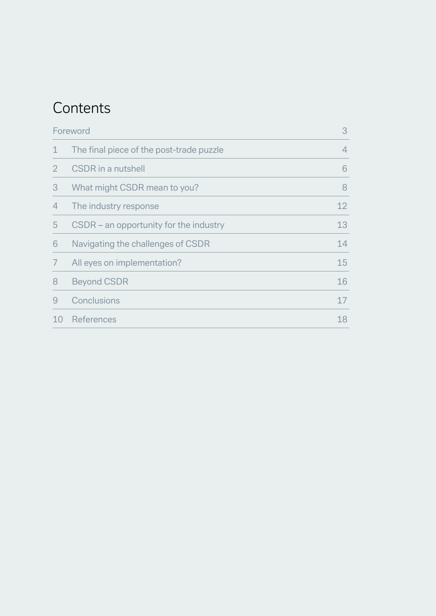# **Contents**

| Foreword       |                                          | 3              |
|----------------|------------------------------------------|----------------|
| $\mathbf 1$    | The final piece of the post-trade puzzle | $\overline{4}$ |
| $\overline{2}$ | <b>CSDR</b> in a nutshell                | 6              |
| 3              | What might CSDR mean to you?             | 8              |
| 4              | The industry response                    | 12             |
| 5              | CSDR – an opportunity for the industry   | 13             |
| 6              | Navigating the challenges of CSDR        | 14             |
| 7              | All eyes on implementation?              | 15             |
| 8              | <b>Beyond CSDR</b>                       | 16             |
| 9              | Conclusions                              | 17             |
| 10             | References                               | 18             |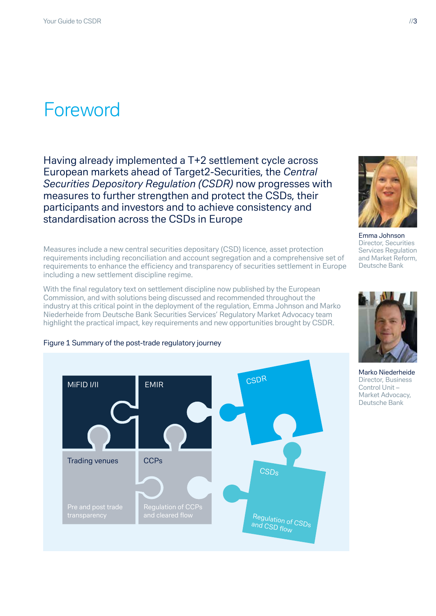# Foreword

Having already implemented a T+2 settlement cycle across European markets ahead of Target2-Securities, the *[Central](https://eur-lex.europa.eu/legal-content/EN/TXT/?qid=1539251798323&uri=CELEX:32014R0909)  [Securities Depository Regulation \(CSDR\)](https://eur-lex.europa.eu/legal-content/EN/TXT/?qid=1539251798323&uri=CELEX:32014R0909)* now progresses with measures to further strengthen and protect the CSDs, their participants and investors and to achieve consistency and standardisation across the CSDs in Europe

Measures include a new central securities depositary (CSD) licence, asset protection requirements including reconciliation and account segregation and a comprehensive set of requirements to enhance the efficiency and transparency of securities settlement in Europe including a new settlement discipline regime.

With the final regulatory text on settlement discipline now published by the European Commission, and with solutions being discussed and recommended throughout the industry at this critical point in the deployment of the regulation, Emma Johnson and Marko Niederheide from Deutsche Bank Securities Services' Regulatory Market Advocacy team highlight the practical impact, key requirements and new opportunities brought by CSDR.



#### Figure 1 Summary of the post-trade regulatory journey



Emma Johnson Director, Securities Services Regulation and Market Reform, Deutsche Bank



Marko Niederheide Director, Business Control Unit – Market Advocacy, Deutsche Bank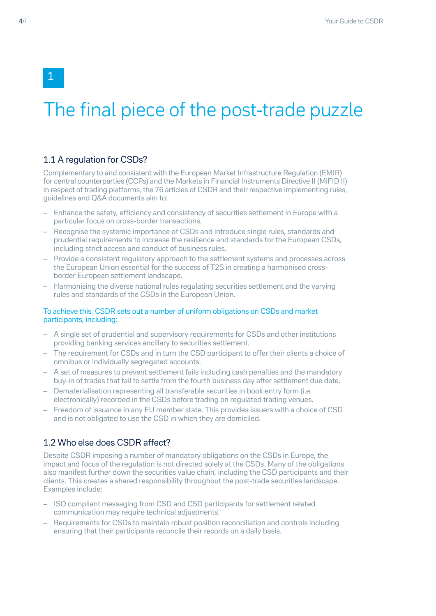1

# The final piece of the post-trade puzzle

### 1.1 A regulation for CSDs?

Complementary to and consistent with the European Market Infrastructure Regulation (EMIR) for central counterparties (CCPs) and the Markets in Financial Instruments Directive II (MiFID II) in respect of trading platforms, the 76 articles of CSDR and their respective implementing rules, guidelines and Q&A documents aim to:

- Enhance the safety, efficiency and consistency of securities settlement in Europe with a particular focus on cross-border transactions.
- Recognise the systemic importance of CSDs and introduce single rules, standards and prudential requirements to increase the resilience and standards for the European CSDs, including strict access and conduct of business rules.
- Provide a consistent regulatory approach to the settlement systems and processes across the European Union essential for the success of T2S in creating a harmonised crossborder European settlement landscape.
- Harmonising the diverse national rules regulating securities settlement and the varying rules and standards of the CSDs in the European Union.

#### To achieve this, CSDR sets out a number of uniform obligations on CSDs and market participants, including:

- A single set of prudential and supervisory requirements for CSDs and other institutions providing banking services ancillary to securities settlement.
- The requirement for CSDs and in turn the CSD participant to offer their clients a choice of omnibus or individually segregated accounts.
- A set of measures to prevent settlement fails including cash penalties and the mandatory buy-in of trades that fail to settle from the fourth business day after settlement due date.
- Dematerialisation representing all transferable securities in book entry form (i.e. electronically) recorded in the CSDs before trading on regulated trading venues.
- Freedom of issuance in any EU member state. This provides issuers with a choice of CSD and is not obligated to use the CSD in which they are domiciled.

### 1.2 Who else does CSDR affect?

Despite CSDR imposing a number of mandatory obligations on the CSDs in Europe, the impact and focus of the regulation is not directed solely at the CSDs. Many of the obligations also manifest further down the securities value chain, including the CSD participants and their clients. This creates a shared responsibility throughout the post-trade securities landscape. Examples include:

- ISO compliant messaging from CSD and CSD participants for settlement related communication may require technical adjustments.
- Requirements for CSDs to maintain robust position reconciliation and controls including ensuring that their participants reconcile their records on a daily basis.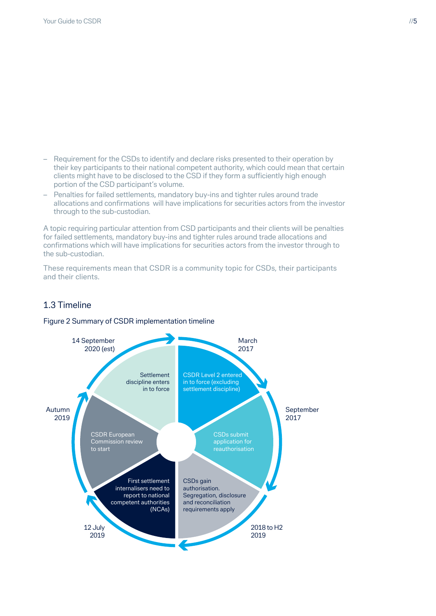- Requirement for the CSDs to identify and declare risks presented to their operation by their key participants to their national competent authority, which could mean that certain clients might have to be disclosed to the CSD if they form a sufficiently high enough portion of the CSD participant's volume.
- Penalties for failed settlements, mandatory buy-ins and tighter rules around trade allocations and confirmations will have implications for securities actors from the investor through to the sub-custodian.

A topic requiring particular attention from CSD participants and their clients will be penalties for failed settlements, mandatory buy-ins and tighter rules around trade allocations and confirmations which will have implications for securities actors from the investor through to the sub-custodian.

These requirements mean that CSDR is a community topic for CSDs, their participants and their clients.

# 1.3 Timeline

Figure 2 Summary of CSDR implementation timeline

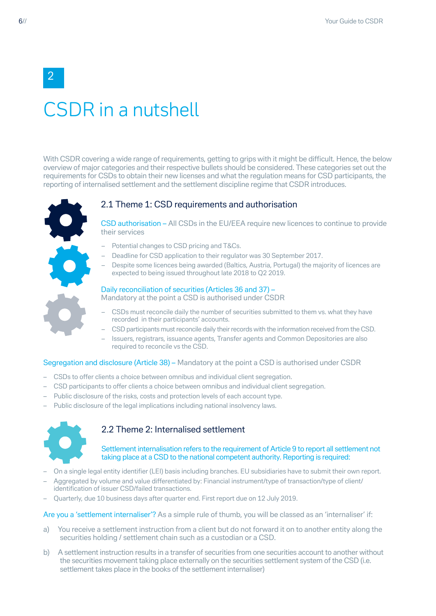# CSDR in a nutshell

With CSDR covering a wide range of requirements, getting to grips with it might be difficult. Hence, the below overview of major categories and their respective bullets should be considered. These categories set out the requirements for CSDs to obtain their new licenses and what the regulation means for CSD participants, the reporting of internalised settlement and the settlement discipline regime that CSDR introduces.



### 2.1 Theme 1: CSD requirements and authorisation

CSD authorisation – All CSDs in the EU/EEA require new licences to continue to provide their services

- Potential changes to CSD pricing and T&Cs.
- Deadline for CSD application to their regulator was 30 September 2017.
- Despite some licences being awarded (Baltics, Austria, Portugal) the majority of licences are expected to being issued throughout late 2018 to Q2 2019.

#### Daily reconciliation of securities (Articles 36 and 37) –

Mandatory at the point a CSD is authorised under CSDR

- CSDs must reconcile daily the number of securities submitted to them vs. what they have recorded in their participants' accounts.
- CSD participants must reconcile daily their records with the information received from the CSD.
- Issuers, registrars, issuance agents, Transfer agents and Common Depositories are also required to reconcile vs the CSD.

#### Segregation and disclosure (Article 38) – Mandatory at the point a CSD is authorised under CSDR

- CSDs to offer clients a choice between omnibus and individual client segregation.
- CSD participants to offer clients a choice between omnibus and individual client segregation.
- Public disclosure of the risks, costs and protection levels of each account type.
- Public disclosure of the legal implications including national insolvency laws.



## 2.2 Theme 2: Internalised settlement

#### Settlement internalisation refers to the requirement of Article 9 to report all settlement not taking place at a CSD to the national competent authority. Reporting is required:

- On a single legal entity identifier (LEI) basis including branches. EU subsidiaries have to submit their own report.
- Aggregated by volume and value differentiated by: Financial instrument/type of transaction/type of client/ identification of issuer CSD/failed transactions.
- Quarterly, due 10 business days after quarter end. First report due on 12 July 2019.

#### Are you a 'settlement internaliser'? As a simple rule of thumb, you will be classed as an 'internaliser' if:

- a) You receive a settlement instruction from a client but do not forward it on to another entity along the securities holding / settlement chain such as a custodian or a CSD.
- b) A settlement instruction results in a transfer of securities from one securities account to another without the securities movement taking place externally on the securities settlement system of the CSD (i.e. settlement takes place in the books of the settlement internaliser)

2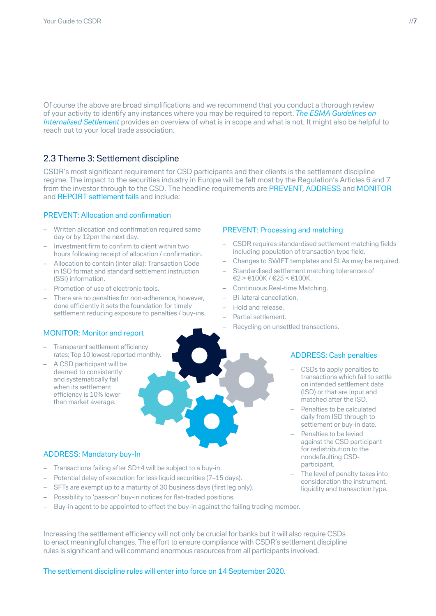Of course the above are broad simplifications and we recommend that you conduct a thorough review of your activity to identify any instances where you may be required to report. *[The ESMA Guidelines on](https://www.esma.europa.eu/press-news/esma-news/esma-finalises-guidelines-how-report-internalised-settlement)  [Internalised Settlement](https://www.esma.europa.eu/press-news/esma-news/esma-finalises-guidelines-how-report-internalised-settlement)* provides an overview of what is in scope and what is not. It might also be helpful to reach out to your local trade association.

## 2.3 Theme 3: Settlement discipline

CSDR's most significant requirement for CSD participants and their clients is the settlement discipline regime. The impact to the securities industry in Europe will be felt most by the Regulation's Articles 6 and 7 from the investor through to the CSD. The headline requirements are PREVENT, ADDRESS and MONITOR and REPORT settlement fails and include:

#### PREVENT: Allocation and confirmation

- Written allocation and confirmation required same day or by 12pm the next day.
- Investment firm to confirm to client within two hours following receipt of allocation / confirmation.
- Allocation to contain (inter alia): Transaction Code in ISO format and standard settlement instruction (SSI) information.
- Promotion of use of electronic tools.
- There are no penalties for non-adherence, however, done efficiently it sets the foundation for timely settlement reducing exposure to penalties / buy-ins.

#### MONITOR: Monitor and report

- Transparent settlement efficiency rates; Top 10 lowest reported monthly.
- A CSD participant will be deemed to consistently and systematically fail when its settlement efficiency is 10% lower than market average.

### ADDRESS: Mandatory buy-In

- Transactions failing after SD+4 will be subject to a buy-in.
- Potential delay of execution for less liquid securities (7–15 days).
- SFTs are exempt up to a maturity of 30 business days (first leg only).
- Possibility to 'pass-on' buy-in notices for flat-traded positions.
- Buy-in agent to be appointed to effect the buy-in against the failing trading member.

Increasing the settlement efficiency will not only be crucial for banks but it will also require CSDs to enact meaningful changes. The effort to ensure compliance with CSDR's settlement discipline rules is significant and will command enormous resources from all participants involved.

The settlement discipline rules will enter into force on 14 September 2020.

#### PREVENT: Processing and matching

- CSDR requires standardised settlement matching fields including population of transaction type field.
- Changes to SWIFT templates and SLAs may be required.
- Standardised settlement matching tolerances of  $€2 > €100K / €25 < €100K$ .
- Continuous Real-time Matching.
- Bi-lateral cancellation.
- Hold and release.
- Partial settlement.
- Recycling on unsettled transactions.

#### ADDRESS: Cash penalties

- CSDs to apply penalties to transactions which fail to settle on intended settlement date (ISD) or that are input and matched after the ISD.
- Penalties to be calculated daily from ISD through to settlement or buy-in date.
- Penalties to be levied against the CSD participant for redistribution to the nondefaulting CSDparticipant.
- The level of penalty takes into consideration the instrument, liquidity and transaction type.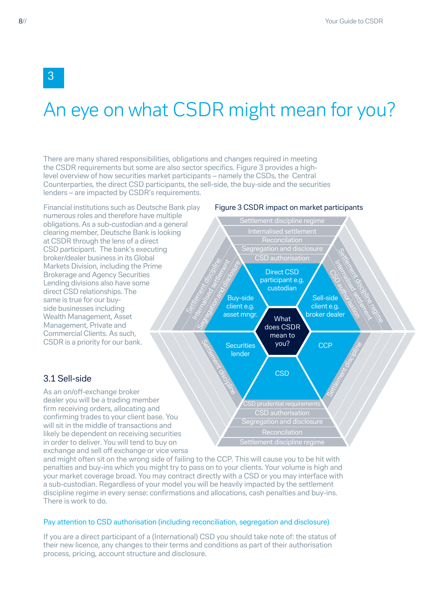# An eye on what CSDR might mean for you?

There are many shared responsibilities, obligations and changes required in meeting the CSDR requirements but some are also sector specifics. Figure 3 provides a highlevel overview of how securities market participants – namely the CSDs, the Central Counterparties, the direct CSD participants, the sell-side, the buy-side and the securities lenders – are impacted by CSDR's requirements.



and might often sit on the wrong side of failing to the CCP. This will cause you to be hit with penalties and buy-ins which you might try to pass on to your clients. Your volume is high and your market coverage broad. You may contract directly with a CSD or you may interface with a sub-custodian. Regardless of your model you will be heavily impacted by the settlement discipline regime in every sense: confirmations and allocations, cash penalties and buy-ins. There is work to do.

#### Pay attention to CSD authorisation (including reconciliation, segregation and disclosure)

If you are a direct participant of a (International) CSD you should take note of: the status of their new licence, any changes to their terms and conditions as part of their authorisation process, pricing, account structure and disclosure.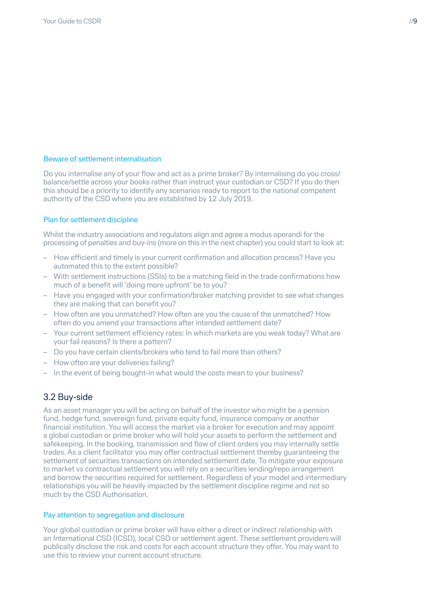#### Beware of settlement internalisation

Do you internalise any of your flow and act as a prime broker? By internalising do you cross/ balance/settle across your books rather than instruct your custodian or CSD? If you do then this should be a priority to identify any scenarios ready to report to the national competent authority of the CSD where you are established by 12 July 2019.

#### Plan for settlement discipline

Whilst the industry associations and regulators align and agree a modus operandi for the processing of penalties and buy-ins (more on this in the next chapter) you could start to look at:

- How efficient and timely is your current confirmation and allocation process? Have you automated this to the extent possible?
- With settlement instructions (SSIs) to be a matching field in the trade confirmations how much of a benefit will 'doing more upfront' be to you?
- Have you engaged with your confirmation/broker matching provider to see what changes they are making that can benefit you?
- How often are you unmatched? How often are you the cause of the unmatched? How often do you amend your transactions after intended settlement date?
- Your current settlement efficiency rates: In which markets are you weak today? What are your fail reasons? Is there a pattern?
- Do you have certain clients/brokers who tend to fail more than others?
- How often are your deliveries failing?
- In the event of being bought-in what would the costs mean to your business?

## 3.2 Buy-side

As an asset manager you will be acting on behalf of the investor who might be a pension fund, hedge fund, sovereign fund, private equity fund, insurance company or another financial institution. You will access the market via a broker for execution and may appoint a global custodian or prime broker who will hold your assets to perform the settlement and safekeeping. In the booking, transmission and flow of client orders you may internally settle trades. As a client facilitator you may offer contractual settlement thereby guaranteeing the settlement of securities transactions on intended settlement date. To mitigate your exposure to market vs contractual settlement you will rely on a securities lending/repo arrangement and borrow the securities required for settlement. Regardless of your model and intermediary relationships you will be heavily impacted by the settlement discipline regime and not so much by the CSD Authorisation.

#### Pay attention to segregation and disclosure

Your global custodian or prime broker will have either a direct or indirect relationship with an International CSD (ICSD), local CSD or settlement agent. These settlement providers will publically disclose the risk and costs for each account structure they offer. You may want to use this to review your current account structure.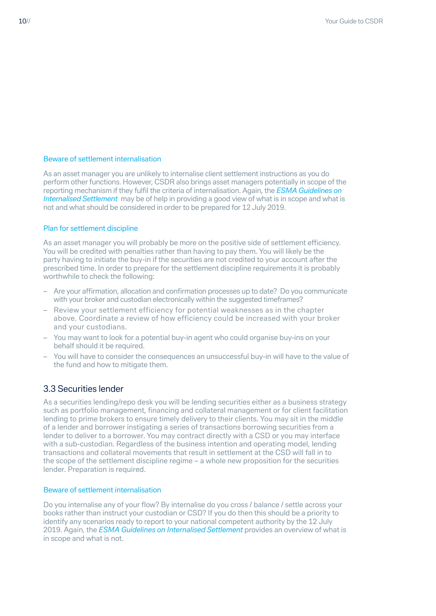### Beware of settlement internalisation

As an asset manager you are unlikely to internalise client settlement instructions as you do perform other functions. However, CSDR also brings asset managers potentially in scope of the reporting mechanism if they fulfil the criteria of internalisation. Again, the *[ESMA Guidelines on](https://www.esma.europa.eu/press-news/esma-news/esma-finalises-guidelines-how-report-internalised-settlement)  [Internalised Settlement](https://www.esma.europa.eu/press-news/esma-news/esma-finalises-guidelines-how-report-internalised-settlement)* may be of help in providing a good view of what is in scope and what is not and what should be considered in order to be prepared for 12 July 2019.

#### Plan for settlement discipline

As an asset manager you will probably be more on the positive side of settlement efficiency. You will be credited with penalties rather than having to pay them. You will likely be the party having to initiate the buy-in if the securities are not credited to your account after the prescribed time. In order to prepare for the settlement discipline requirements it is probably worthwhile to check the following:

- Are your affirmation, allocation and confirmation processes up to date? Do you communicate with your broker and custodian electronically within the suggested timeframes?
- Review your settlement efficiency for potential weaknesses as in the chapter above. Coordinate a review of how efficiency could be increased with your broker and your custodians.
- You may want to look for a potential buy-in agent who could organise buy-ins on your behalf should it be required.
- You will have to consider the consequences an unsuccessful buy-in will have to the value of the fund and how to mitigate them.

## 3.3 Securities lender

As a securities lending/repo desk you will be lending securities either as a business strategy such as portfolio management, financing and collateral management or for client facilitation lending to prime brokers to ensure timely delivery to their clients. You may sit in the middle of a lender and borrower instigating a series of transactions borrowing securities from a lender to deliver to a borrower. You may contract directly with a CSD or you may interface with a sub-custodian. Regardless of the business intention and operating model, lending transactions and collateral movements that result in settlement at the CSD will fall in to the scope of the settlement discipline regime – a whole new proposition for the securities lender. Preparation is required.

### Beware of settlement internalisation

Do you internalise any of your flow? By internalise do you cross / balance / settle across your books rather than instruct your custodian or CSD? If you do then this should be a priority to identify any scenarios ready to report to your national competent authority by the 12 July 2019. Again, the *[ESMA Guidelines on Internalised Settlement](https://www.esma.europa.eu/press-news/esma-news/esma-finalises-guidelines-how-report-internalised-settlement)* provides an overview of what is in scope and what is not.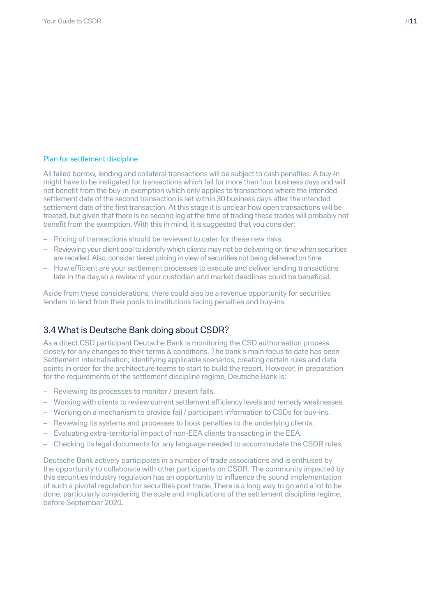#### Plan for settlement discipline

All failed borrow, lending and collateral transactions will be subject to cash penalties. A buy-in might have to be instigated for transactions which fail for more than four business days and will not benefit from the buy-in exemption which only applies to transactions where the intended settlement date of the second transaction is set within 30 business days after the intended settlement date of the first transaction. At this stage it is unclear how open transactions will be treated, but given that there is no second leg at the time of trading these trades will probably not benefit from the exemption. With this in mind, it is suggested that you consider:

- Pricing of transactions should be reviewed to cater for these new risks.
- Reviewing your client pool to identify which clients may not be delivering on time when securities are recalled. Also, consider tiered pricing in view of securities not being delivered on time.
- How efficient are your settlement processes to execute and deliver lending transactions late in the day,so a review of your custodian and market deadlines could be beneficial.

Aside from these considerations, there could also be a revenue opportunity for securities lenders to lend from their pools to institutions facing penalties and buy-ins.

## 3.4 What is Deutsche Bank doing about CSDR?

As a direct CSD participant Deutsche Bank is monitoring the CSD authorisation process closely for any changes to their terms & conditions. The bank's main focus to date has been Settlement Internalisation; identifying applicable scenarios, creating certain rules and data points in order for the architecture teams to start to build the report. However, in preparation for the requirements of the settlement discipline regime, Deutsche Bank is:

- Reviewing its processes to monitor / prevent fails.
- Working with clients to review current settlement efficiency levels and remedy weaknesses.
- Working on a mechanism to provide fail / participant information to CSDs for buy-ins.
- Reviewing its systems and processes to book penalties to the underlying clients.
- Evaluating extra-territorial impact of non-EEA clients transacting in the EEA.
- Checking its legal documents for any language needed to accommodate the CSDR rules.

Deutsche Bank actively participates in a number of trade associations and is enthused by the opportunity to collaborate with other participants on CSDR. The community impacted by this securities industry regulation has an opportunity to influence the sound implementation of such a pivotal regulation for securities post trade. There is a long way to go and a lot to be done, particularly considering the scale and implications of the settlement discipline regime, before September 2020.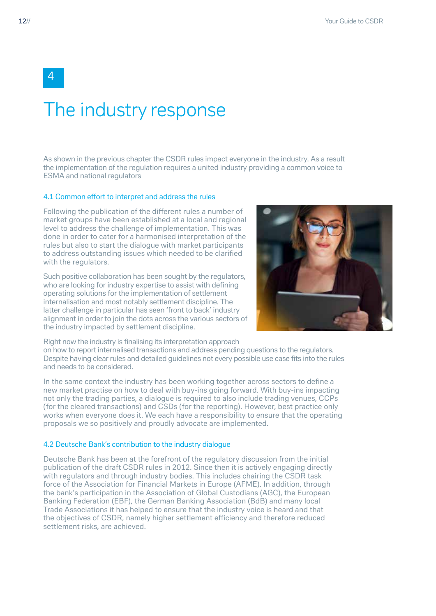# The industry response

As shown in the previous chapter the CSDR rules impact everyone in the industry. As a result the implementation of the regulation requires a united industry providing a common voice to ESMA and national regulators

#### 4.1 Common effort to interpret and address the rules

Following the publication of the different rules a number of market groups have been established at a local and regional level to address the challenge of implementation. This was done in order to cater for a harmonised interpretation of the rules but also to start the dialogue with market participants to address outstanding issues which needed to be clarified with the regulators.

Such positive collaboration has been sought by the regulators, who are looking for industry expertise to assist with defining operating solutions for the implementation of settlement internalisation and most notably settlement discipline. The latter challenge in particular has seen 'front to back' industry alignment in order to join the dots across the various sectors of the industry impacted by settlement discipline.



Right now the industry is finalising its interpretation approach

on how to report internalised transactions and address pending questions to the regulators. Despite having clear rules and detailed guidelines not every possible use case fits into the rules and needs to be considered.

In the same context the industry has been working together across sectors to define a new market practise on how to deal with buy-ins going forward. With buy-ins impacting not only the trading parties, a dialogue is required to also include trading venues, CCPs (for the cleared transactions) and CSDs (for the reporting). However, best practice only works when everyone does it. We each have a responsibility to ensure that the operating proposals we so positively and proudly advocate are implemented.

#### 4.2 Deutsche Bank's contribution to the industry dialogue

Deutsche Bank has been at the forefront of the regulatory discussion from the initial publication of the draft CSDR rules in 2012. Since then it is actively engaging directly with regulators and through industry bodies. This includes chairing the CSDR task force of the Association for Financial Markets in Europe (AFME). In addition, through the bank's participation in the Association of Global Custodians (AGC), the European Banking Federation (EBF), the German Banking Association (BdB) and many local Trade Associations it has helped to ensure that the industry voice is heard and that the objectives of CSDR, namely higher settlement efficiency and therefore reduced settlement risks, are achieved.

4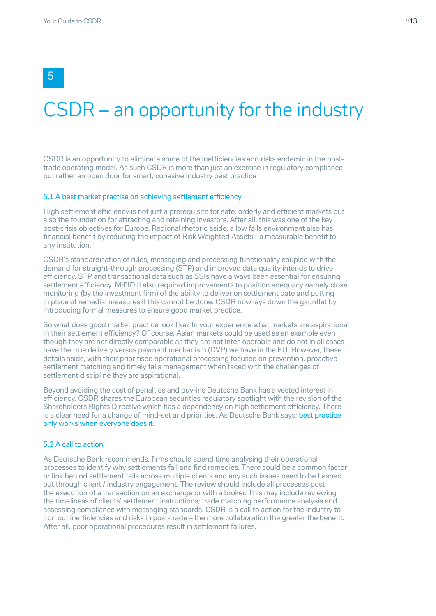# 5

# CSDR – an opportunity for the industry

CSDR is an opportunity to eliminate some of the inefficiencies and risks endemic in the posttrade operating model. As such CSDR is more than just an exercise in regulatory compliance but rather an open door for smart, cohesive industry best practice

#### 5.1 A best market practise on achieving settlement efficiency

High settlement efficiency is not just a prerequisite for safe, orderly and efficient markets but also the foundation for attracting and retaining investors. After all, this was one of the key post-crisis objectives for Europe. Regional rhetoric aside, a low fails environment also has financial benefit by reducing the impact of Risk Weighted Assets - a measurable benefit to any institution.

CSDR's standardisation of rules, messaging and processing functionality coupled with the demand for straight-through processing (STP) and improved data quality intends to drive efficiency. STP and transactional data such as SSIs have always been essential for ensuring settlement efficiency. MiFID II also required improvements to position adequacy namely close monitoring (by the investment firm) of the ability to deliver on settlement date and putting in place of remedial measures if this cannot be done. CSDR now lays down the gauntlet by introducing formal measures to ensure good market practice.

So what does good market practice look like? In your experience what markets are aspirational in their settlement efficiency? Of course, Asian markets could be used as an example even though they are not directly comparable as they are not inter-operable and do not in all cases have the true delivery versus payment mechanism (DVP) we have in the EU. However, these details aside, with their prioritised operational processing focused on prevention, proactive settlement matching and timely fails management when faced with the challenges of settlement discipline they are aspirational.

Beyond avoiding the cost of penalties and buy-ins Deutsche Bank has a vested interest in efficiency. CSDR shares the European securities regulatory spotlight with the revision of the Shareholders Rights Directive which has a dependency on high settlement efficiency. There is a clear need for a change of mind-set and priorities. As Deutsche Bank says; best practice only works when everyone does it.

#### 5.2 A call to action

As Deutsche Bank recommends, firms should spend time analysing their operational processes to identify why settlements fail and find remedies. There could be a common factor or link behind settlement fails across multiple clients and any such issues need to be fleshed out through client / industry engagement. The review should include all processes post the execution of a transaction on an exchange or with a broker. This may include reviewing the timeliness of clients' settlement instructions; trade matching performance analysis and assessing compliance with messaging standards. CSDR is a call to action for the industry to iron out inefficiencies and risks in post-trade – the more collaboration the greater the benefit. After all, poor operational procedures result in settlement failures.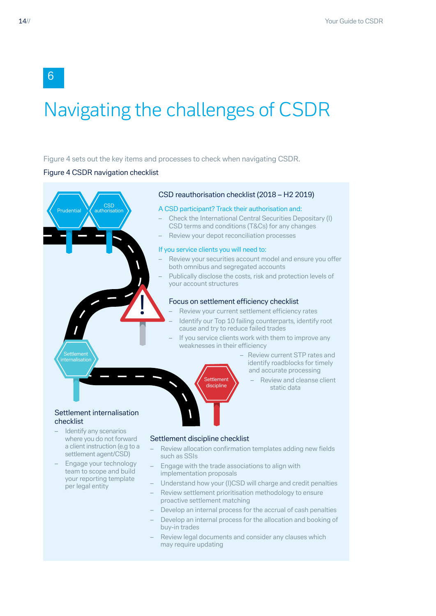# Navigating the challenges of CSDR

#### Figure 4 sets out the key items and processes to check when navigating CSDR.

#### Figure 4 CSDR navigation checklist

CSD authorisation

<u>!</u>

Prudential

#### CSD reauthorisation checklist (2018 – H2 2019)

#### A CSD participant? Track their authorisation and:

- Check the International Central Securities Depositary (I) CSD terms and conditions (T&Cs) for any changes
- Review your depot reconciliation processes

#### If you service clients you will need to:

- Review your securities account model and ensure you offer both omnibus and segregated accounts
- Publically disclose the costs, risk and protection levels of your account structures

#### Focus on settlement efficiency checklist

- Review your current settlement efficiency rates
- Identify our Top 10 failing counterparts, identify root cause and try to reduce failed trades
- If you service clients work with them to improve any weaknesses in their efficiency
	- Review current STP rates and identify roadblocks for timely and accurate processing
		- Review and cleanse client static data

#### Settlement internalisation checklist

**Settlement** malisati

- Identify any scenarios where you do not forward a client instruction (e.g to a settlement agent/CSD)
- Engage your technology team to scope and build your reporting template per legal entity

#### Settlement discipline checklist

- Review allocation confirmation templates adding new fields such as SSIs
- Engage with the trade associations to align with implementation proposals

**Settlement** discipline

- Understand how your (I)CSD will charge and credit penalties
- Review settlement prioritisation methodology to ensure proactive settlement matching
- Develop an internal process for the accrual of cash penalties
- Develop an internal process for the allocation and booking of buy-in trades
- Review legal documents and consider any clauses which may require updating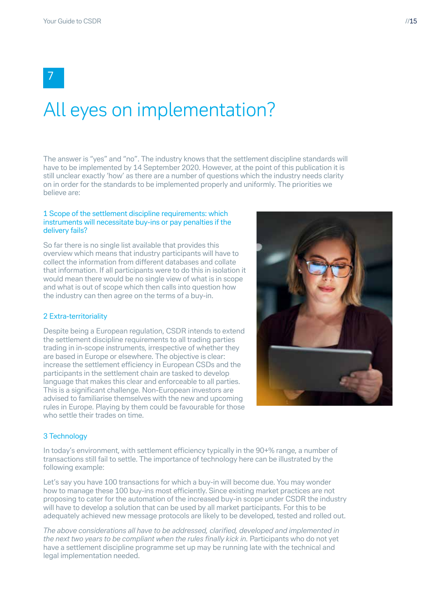7

# All eyes on implementation?

The answer is "yes" and "no". The industry knows that the settlement discipline standards will have to be implemented by 14 September 2020. However, at the point of this publication it is still unclear exactly 'how' as there are a number of questions which the industry needs clarity on in order for the standards to be implemented properly and uniformly. The priorities we believe are:

#### 1 Scope of the settlement discipline requirements: which instruments will necessitate buy-ins or pay penalties if the delivery fails?

So far there is no single list available that provides this overview which means that industry participants will have to collect the information from different databases and collate that information. If all participants were to do this in isolation it would mean there would be no single view of what is in scope and what is out of scope which then calls into question how the industry can then agree on the terms of a buy-in.

#### 2 Extra-territoriality

Despite being a European regulation, CSDR intends to extend the settlement discipline requirements to all trading parties trading in in-scope instruments, irrespective of whether they are based in Europe or elsewhere. The objective is clear: increase the settlement efficiency in European CSDs and the participants in the settlement chain are tasked to develop language that makes this clear and enforceable to all parties. This is a significant challenge. Non-European investors are advised to familiarise themselves with the new and upcoming rules in Europe. Playing by them could be favourable for those who settle their trades on time.



#### 3 Technology

In today's environment, with settlement efficiency typically in the 90+% range, a number of transactions still fail to settle. The importance of technology here can be illustrated by the following example:

Let's say you have 100 transactions for which a buy-in will become due. You may wonder how to manage these 100 buy-ins most efficiently. Since existing market practices are not proposing to cater for the automation of the increased buy-in scope under CSDR the industry will have to develop a solution that can be used by all market participants. For this to be adequately achieved new message protocols are likely to be developed, tested and rolled out.

*The above considerations all have to be addressed, clarified, developed and implemented in the next two years to be compliant when the rules finally kick in.* Participants who do not yet have a settlement discipline programme set up may be running late with the technical and legal implementation needed.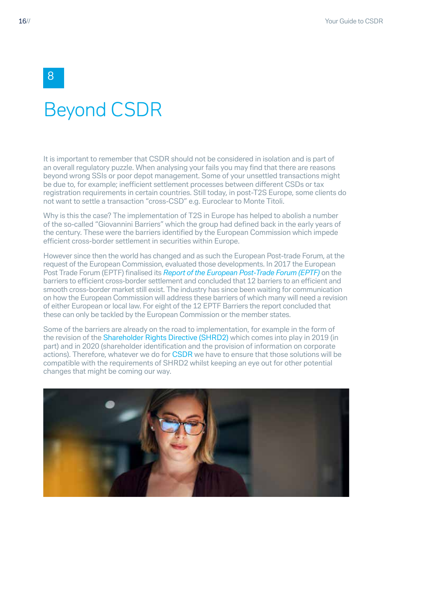# Beyond CSDR

It is important to remember that CSDR should not be considered in isolation and is part of an overall regulatory puzzle. When analysing your fails you may find that there are reasons beyond wrong SSIs or poor depot management. Some of your unsettled transactions might be due to, for example; inefficient settlement processes between different CSDs or tax registration requirements in certain countries. Still today, in post-T2S Europe, some clients do not want to settle a transaction "cross-CSD" e.g. Euroclear to Monte Titoli.

Why is this the case? The implementation of T2S in Europe has helped to abolish a number of the so-called "Giovannini Barriers" which the group had defined back in the early years of the century. These were the barriers identified by the European Commission which impede efficient cross-border settlement in securities within Europe.

However since then the world has changed and as such the European Post-trade Forum, at the request of the European Commission, evaluated those developments. In 2017 the European Post Trade Forum (EPTF) finalised its *[Report of the European Post-Trade Forum \(EPTF\)](https://ec.europa.eu/info/publications/170515-eptf-report_en)* on the barriers to efficient cross-border settlement and concluded that 12 barriers to an efficient and smooth cross-border market still exist. The industry has since been waiting for communication on how the European Commission will address these barriers of which many will need a revision of either European or local law. For eight of the 12 EPTF Barriers the report concluded that these can only be tackled by the European Commission or the member states.

Some of the barriers are already on the road to implementation, for example in the form of the revision of the [Shareholder Rights Directive](https://eur-lex.europa.eu/legal-content/EN/TXT/PDF/?uri=CELEX:32017L0828&from=en) (SHRD2) which comes into play in 2019 (in part) and in 2020 (shareholder identification and the provision of information on corporate actions). Therefore, whatever we do for [CSDR](https://eur-lex.europa.eu/legal-content/EN/TXT/PDF/?uri=CELEX:32018R1212&from=EN) we have to ensure that those solutions will be compatible with the requirements of SHRD2 whilst keeping an eye out for other potential changes that might be coming our way.



8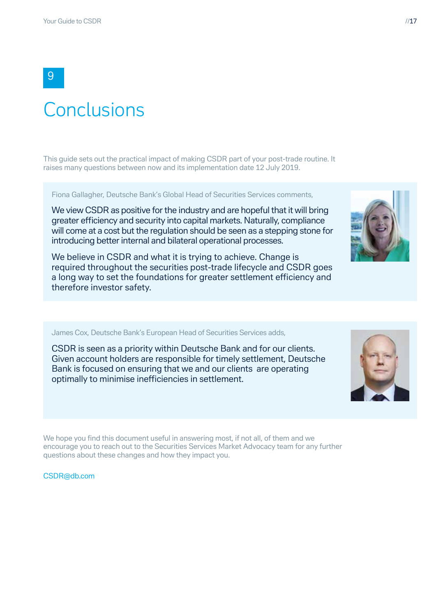# **Conclusions**

This guide sets out the practical impact of making CSDR part of your post-trade routine. It raises many questions between now and its implementation date 12 July 2019.

Fiona Gallagher, Deutsche Bank's Global Head of Securities Services comments,

We view CSDR as positive for the industry and are hopeful that it will bring greater efficiency and security into capital markets. Naturally, compliance will come at a cost but the regulation should be seen as a stepping stone for introducing better internal and bilateral operational processes.

We believe in CSDR and what it is trying to achieve. Change is required throughout the securities post-trade lifecycle and CSDR goes a long way to set the foundations for greater settlement efficiency and therefore investor safety.

#### James Cox, Deutsche Bank's European Head of Securities Services adds,

CSDR is seen as a priority within Deutsche Bank and for our clients. Given account holders are responsible for timely settlement, Deutsche Bank is focused on ensuring that we and our clients are operating optimally to minimise inefficiencies in settlement.

We hope you find this document useful in answering most, if not all, of them and we encourage you to reach out to the Securities Services Market Advocacy team for any further questions about these changes and how they impact you.

[CSDR@db.com](mailto:CSDR%40db.com%20?subject=) 



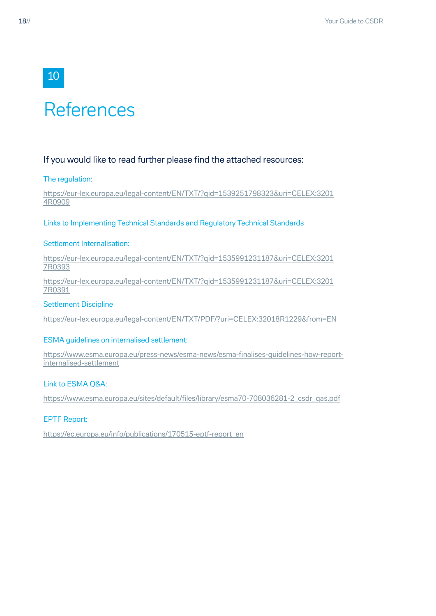# References

### If you would like to read further please find the attached resources:

#### The regulation:

10

[https://eur-lex.europa.eu/legal-content/EN/TXT/?qid=1539251798323&uri=CELEX:3201](https://eur-lex.europa.eu/legal-content/EN/TXT/?qid=1539251798323&uri=CELEX:32014R0909) [4R0909](https://eur-lex.europa.eu/legal-content/EN/TXT/?qid=1539251798323&uri=CELEX:32014R0909)

Links to Implementing Technical Standards and Regulatory Technical Standards

#### Settlement Internalisation:

[https://eur-lex.europa.eu/legal-content/EN/TXT/?qid=1535991231187&uri=CELEX:3201](https://eur-lex.europa.eu/legal-content/EN/TXT/?qid=1535991231187&uri=CELEX:32017R0393) [7R0393](https://eur-lex.europa.eu/legal-content/EN/TXT/?qid=1535991231187&uri=CELEX:32017R0393)

[https://eur-lex.europa.eu/legal-content/EN/TXT/?qid=1535991231187&uri=CELEX:3201](https://eur-lex.europa.eu/legal-content/EN/TXT/?qid=1535991231187&uri=CELEX:32017R0391) [7R0391](https://eur-lex.europa.eu/legal-content/EN/TXT/?qid=1535991231187&uri=CELEX:32017R0391)

#### Settlement Discipline

https://eur-lex.europa.eu/legal-content/EN/TXT/PDF/?uri=CELEX:32018R1229&from=EN

#### ESMA guidelines on internalised settlement:

[https://www.esma.europa.eu/press-news/esma-news/esma-finalises-guidelines-how-report](https://www.esma.europa.eu/press-news/esma-news/esma-finalises-guidelines-how-report-internalised-settlement)[internalised-settlement](https://www.esma.europa.eu/press-news/esma-news/esma-finalises-guidelines-how-report-internalised-settlement)

#### Link to ESMA Q&A:

[https://www.esma.europa.eu/sites/default/files/library/esma70-708036281-2\\_csdr\\_qas.pdf](https://www.esma.europa.eu/sites/default/files/library/esma70-708036281-2_csdr_qas.pdf)

### EPTF Report:

[https://ec.europa.eu/info/publications/170515-eptf-report\\_en](https://ec.europa.eu/info/publications/170515-eptf-report_en)